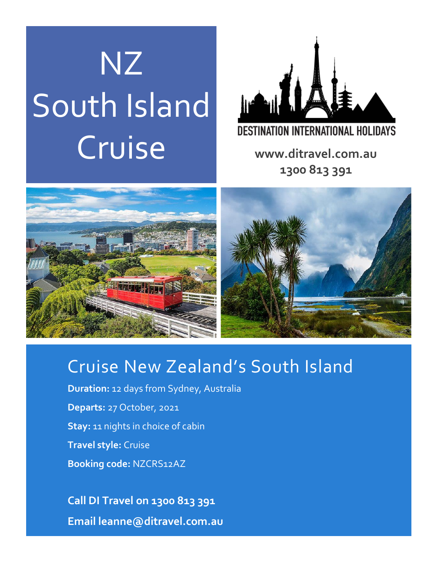# NZ South Island DESTINATION INTERNATIONAL HOLIDAYS<br>
Www.ditravel.com.au



**1300 813 391**



# Cruise New Zealand's South Island

**Duration:** 12 days from Sydney, Australia **Departs:** 27 October, 2021 **Stay:** 11 nights in choice of cabin **Travel style:** Cruise **Booking code:** NZCRS12AZ

**Call DI Travel on 1300 813 391 Email leanne@ditravel.com.au**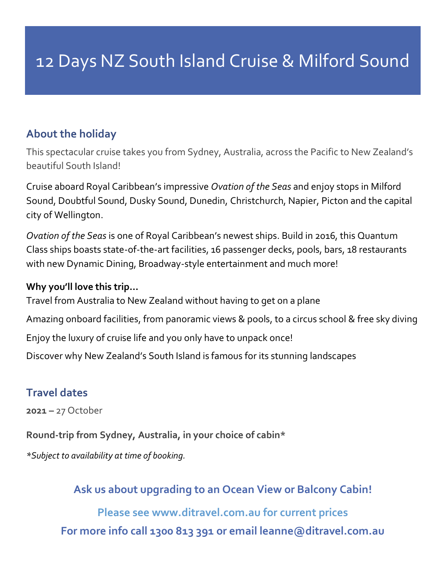## **About the holiday**

This spectacular cruise takes you from Sydney, Australia, across the Pacific to New Zealand's beautiful South Island!

Cruise aboard Royal Caribbean's impressive *Ovation of the Seas* and enjoy stops in Milford Sound, Doubtful Sound, Dusky Sound, Dunedin, Christchurch, Napier, Picton and the capital city of Wellington.

*Ovation of the Seas* is one of Royal Caribbean's newest ships. Build in 2016, this Quantum Class ships boasts state-of-the-art facilities, 16 passenger decks, pools, bars, 18 restaurants with new Dynamic Dining, Broadway-style entertainment and much more!

#### **Why you'll love this trip…**

Travel from Australia to New Zealand without having to get on a plane

Amazing onboard facilities, from panoramic views & pools, to a circus school & free sky diving

Enjoy the luxury of cruise life and you only have to unpack once!

Discover why New Zealand's South Island is famous for its stunning landscapes

## **Travel dates**

**2021 –** 27 October

**Round-trip from Sydney, Australia, in your choice of cabin\***

*\*Subject to availability at time of booking.*

**Ask us about upgrading to an Ocean View or Balcony Cabin!**

**Please see www.ditravel.com.au for current prices For more info call 1300 813 391 or email leanne@ditravel.com.au**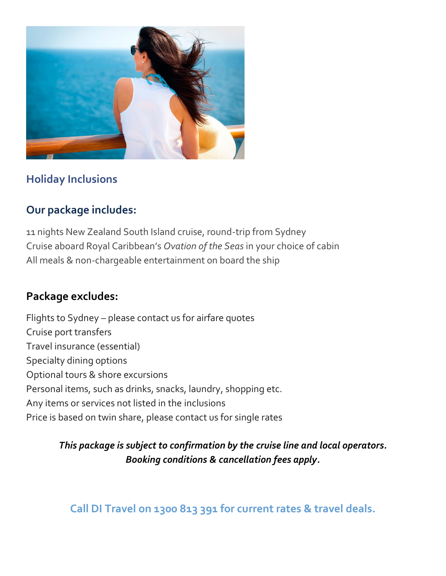

## **Holiday Inclusions**

## **Our package includes:**

11 nights New Zealand South Island cruise, round-trip from Sydney Cruise aboard Royal Caribbean's *Ovation of the Seas* in your choice of cabin All meals & non-chargeable entertainment on board the ship

## **Package excludes:**

Flights to Sydney – please contact us for airfare quotes Cruise port transfers Travel insurance (essential) Specialty dining options Optional tours & shore excursions Personal items, such as drinks, snacks, laundry, shopping etc. Any items or services not listed in the inclusions Price is based on twin share, please contact us for single rates

## *This package is subject to confirmation by the cruise line and local operators. Booking conditions & cancellation fees apply.*

## **Call DI Travel on 1300 813 391 for current rates & travel deals.**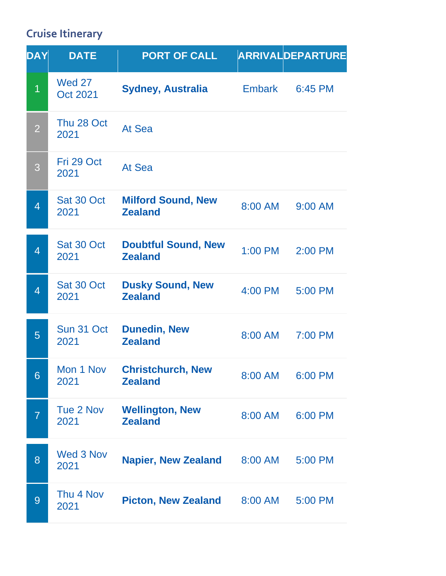## **Cruise Itinerary**

| DAY            | <b>DATE</b>                      | <b>PORT OF CALL</b>                          |               | ARRIVALDEPARTURE |
|----------------|----------------------------------|----------------------------------------------|---------------|------------------|
| $\overline{1}$ | <b>Wed 27</b><br><b>Oct 2021</b> | <b>Sydney, Australia</b>                     | <b>Embark</b> | 6:45 PM          |
| $\overline{2}$ | Thu 28 Oct<br>2021               | At Sea                                       |               |                  |
| 3              | Fri 29 Oct<br>2021               | At Sea                                       |               |                  |
| $\overline{4}$ | Sat 30 Oct<br>2021               | <b>Milford Sound, New</b><br><b>Zealand</b>  | 8:00 AM       | 9:00 AM          |
| $\overline{4}$ | Sat 30 Oct<br>2021               | <b>Doubtful Sound, New</b><br><b>Zealand</b> | 1:00 PM       | 2:00 PM          |
| $\overline{4}$ | Sat 30 Oct<br>2021               | <b>Dusky Sound, New</b><br><b>Zealand</b>    | 4:00 PM       | 5:00 PM          |
| 5              | Sun 31 Oct<br>2021               | <b>Dunedin, New</b><br><b>Zealand</b>        | 8:00 AM       | 7:00 PM          |
| 6              | Mon 1 Nov<br>2021                | <b>Christchurch, New</b><br><b>Zealand</b>   | 8:00 AM       | 6:00 PM          |
| $\overline{7}$ | Tue 2 Nov<br>2021                | <b>Wellington, New</b><br><b>Zealand</b>     | 8:00 AM       | 6:00 PM          |
| 8              | Wed 3 Nov<br>2021                | <b>Napier, New Zealand</b>                   | 8:00 AM       | 5:00 PM          |
| 9              | Thu 4 Nov<br>2021                | <b>Picton, New Zealand</b>                   | 8:00 AM       | 5:00 PM          |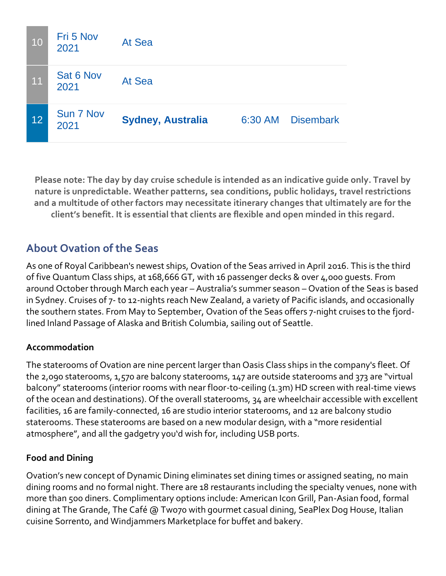| 10 | Fri 5 Nov<br>2021 | At Sea                   |         |                  |
|----|-------------------|--------------------------|---------|------------------|
| 11 | Sat 6 Nov<br>2021 | At Sea                   |         |                  |
| 12 | Sun 7 Nov<br>2021 | <b>Sydney, Australia</b> | 6:30 AM | <b>Disembark</b> |

**Please note: The day by day cruise schedule is intended as an indicative guide only. Travel by nature is unpredictable. Weather patterns, sea conditions, public holidays, travel restrictions and a multitude of other factors may necessitate itinerary changes that ultimately are for the client's benefit. It is essential that clients are flexible and open minded in this regard.**

## **About Ovation of the Seas**

As one of Royal Caribbean's newest ships, Ovation of the Seas arrived in April 2016. This is the third of five Quantum Class ships, at 168,666 GT, with 16 passenger decks & over 4,000 guests. From around October through March each year – Australia's summer season – Ovation of the Seas is based in Sydney. Cruises of 7- to 12-nights reach New Zealand, a variety of Pacific islands, and occasionally the southern states. From May to September, Ovation of the Seas offers 7-night cruises to the fjordlined Inland Passage of Alaska and British Columbia, sailing out of Seattle.

#### **Accommodation**

The staterooms of Ovation are nine percent larger than Oasis Class ships in the company's fleet. Of the 2,090 staterooms, 1,570 are balcony staterooms, 147 are outside staterooms and 373 are "virtual balcony" staterooms (interior rooms with near floor-to-ceiling (1.3m) HD screen with real-time views of the ocean and destinations). Of the overall staterooms, 34 are wheelchair accessible with excellent facilities, 16 are family-connected, 16 are studio interior staterooms, and 12 are balcony studio staterooms. These staterooms are based on a new modular design, with a "more residential atmosphere", and all the gadgetry you'd wish for, including USB ports.

#### **Food and Dining**

Ovation's new concept of Dynamic Dining eliminates set dining times or assigned seating, no main dining rooms and no formal night. There are 18 restaurants including the specialty venues, none with more than 500 diners. Complimentary options include: American Icon Grill, Pan-Asian food, formal dining at The Grande, The Café @ Two70 with gourmet casual dining, SeaPlex Dog House, Italian cuisine Sorrento, and Windjammers Marketplace for buffet and bakery.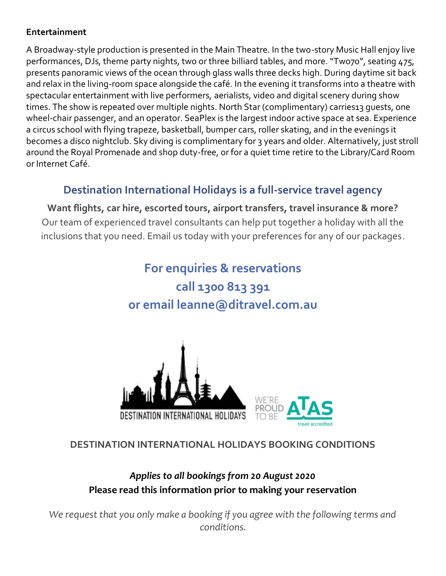#### **Entertainment**

A Broadway-style production is presented in the Main Theatre. In the two-story Music Hall enjoy live performances, DJs, theme party nights, two or three billiard tables, and more. "Two70", seating 475, presents panoramic views of the ocean through glass walls three decks high. During daytime sit back and relax in the living-room space alongside the café. In the evening it transforms into a theatre with spectacular entertainment with live performers, aerialists, video and digital scenery during show times. The show is repeated over multiple nights. North Star (complimentary) carries13 quests, one wheel-chair passenger, and an operator. SeaPlex is the largest indoor active space at sea. Experience a circus school with flying trapeze, basketball, bumper cars, roller skating, and in the evenings it becomes a disco nightclub. Sky diving is complimentary for 3 years and older. Alternatively, just stroll around the Royal Promenade and shop duty-free, or for a quiet time retire to the Library/Card Room or Internet Café.

## **Destination International Holidays is a full-service travel agency**

**Want flights, car hire, escorted tours, airport transfers, travel insurance & more?** Our team of experienced travel consultants can help put together a holiday with all the inclusions that you need. Email us today with your preferences for any of our packages.

## **For enquiries & reservations call 1300 813 391 or email leanne@ditravel.com.au**





#### **DESTINATION INTERNATIONAL HOLIDAYS BOOKING CONDITIONS**

## *Applies to all bookings from 20 August 2020*  **Please read this information prior to making your reservation**

We request that you only make a booking if you agree with the following terms and *conditions.*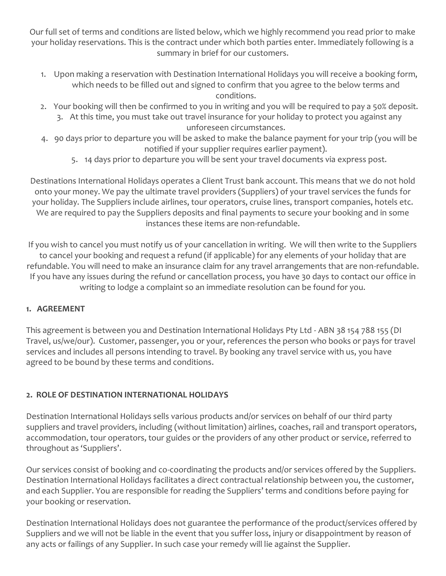Our full set of terms and conditions are listed below, which we highly recommend you read prior to make your holiday reservations. This is the contract under which both parties enter. Immediately following is a summary in brief for our customers.

- 1. Upon making a reservation with Destination International Holidays you will receive a booking form, which needs to be filled out and signed to confirm that you agree to the below terms and conditions.
- 2. Your booking will then be confirmed to you in writing and you will be required to pay a 50% deposit. 3. At this time, you must take out travel insurance for your holiday to protect you against any unforeseen circumstances.
- 4. 90 days prior to departure you will be asked to make the balance payment for your trip (you will be notified if your supplier requires earlier payment).
	- 5. 14 days prior to departure you will be sent your travel documents via express post.

Destinations International Holidays operates a Client Trust bank account. This means that we do not hold onto your money. We pay the ultimate travel providers (Suppliers) of your travel services the funds for your holiday. The Suppliers include airlines, tour operators, cruise lines, transport companies, hotels etc. We are required to pay the Suppliers deposits and final payments to secure your booking and in some instances these items are non-refundable.

If you wish to cancel you must notify us of your cancellation in writing. We will then write to the Suppliers to cancel your booking and request a refund (if applicable) for any elements of your holiday that are refundable. You will need to make an insurance claim for any travel arrangements that are non-refundable. If you have any issues during the refund or cancellation process, you have 30 days to contact our office in writing to lodge a complaint so an immediate resolution can be found for you.

#### **1. AGREEMENT**

This agreement is between you and Destination International Holidays Pty Ltd - ABN 38 154 788 155 (DI Travel, us/we/our). Customer, passenger, you or your, references the person who books or pays for travel services and includes all persons intending to travel. By booking any travel service with us, you have agreed to be bound by these terms and conditions.

#### **2. ROLE OF DESTINATION INTERNATIONAL HOLIDAYS**

Destination International Holidays sells various products and/or services on behalf of our third party suppliers and travel providers, including (without limitation) airlines, coaches, rail and transport operators, accommodation, tour operators, tour guides or the providers of any other product or service, referred to throughout as 'Suppliers'.

Our services consist of booking and co-coordinating the products and/or services offered by the Suppliers. Destination International Holidays facilitates a direct contractual relationship between you, the customer, and each Supplier. You are responsible for reading the Suppliers' terms and conditions before paying for your booking or reservation.

Destination International Holidays does not guarantee the performance of the product/services offered by Suppliers and we will not be liable in the event that you suffer loss, injury or disappointment by reason of any acts or failings of any Supplier. In such case your remedy will lie against the Supplier.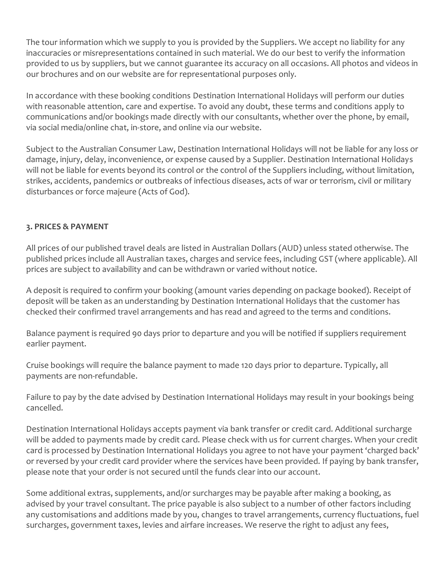The tour information which we supply to you is provided by the Suppliers. We accept no liability for any inaccuracies or misrepresentations contained in such material. We do our best to verify the information provided to us by suppliers, but we cannot guarantee its accuracy on all occasions. All photos and videos in our brochures and on our website are for representational purposes only.

In accordance with these booking conditions Destination International Holidays will perform our duties with reasonable attention, care and expertise. To avoid any doubt, these terms and conditions apply to communications and/or bookings made directly with our consultants, whether over the phone, by email, via social media/online chat, in-store, and online via our website.

Subject to the Australian Consumer Law, Destination International Holidays will not be liable for any loss or damage, injury, delay, inconvenience, or expense caused by a Supplier. Destination International Holidays will not be liable for events beyond its control or the control of the Suppliers including, without limitation, strikes, accidents, pandemics or outbreaks of infectious diseases, acts of war or terrorism, civil or military disturbances or force majeure (Acts of God).

#### **3. PRICES & PAYMENT**

All prices of our published travel deals are listed in Australian Dollars (AUD) unless stated otherwise. The published prices include all Australian taxes, charges and service fees, including GST (where applicable). All prices are subject to availability and can be withdrawn or varied without notice.

A deposit is required to confirm your booking (amount varies depending on package booked). Receipt of deposit will be taken as an understanding by Destination International Holidays that the customer has checked their confirmed travel arrangements and has read and agreed to the terms and conditions.

Balance payment is required 90 days prior to departure and you will be notified if suppliers requirement earlier payment.

Cruise bookings will require the balance payment to made 120 days prior to departure. Typically, all payments are non-refundable.

Failure to pay by the date advised by Destination International Holidays may result in your bookings being cancelled.

Destination International Holidays accepts payment via bank transfer or credit card. Additional surcharge will be added to payments made by credit card. Please check with us for current charges. When your credit card is processed by Destination International Holidays you agree to not have your payment 'charged back' or reversed by your credit card provider where the services have been provided. If paying by bank transfer, please note that your order is not secured until the funds clear into our account.

Some additional extras, supplements, and/or surcharges may be payable after making a booking, as advised by your travel consultant. The price payable is also subject to a number of other factors including any customisations and additions made by you, changes to travel arrangements, currency fluctuations, fuel surcharges, government taxes, levies and airfare increases. We reserve the right to adjust any fees,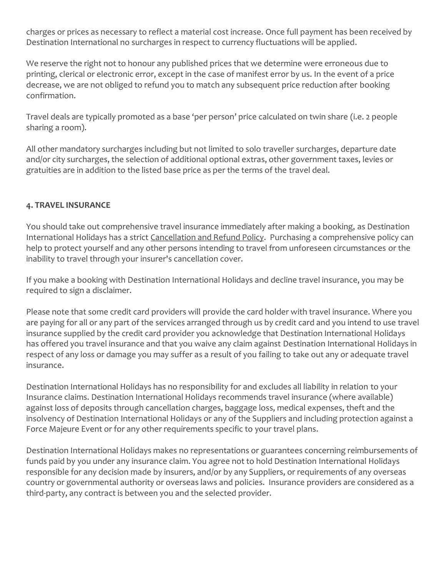charges or prices as necessary to reflect a material cost increase. Once full payment has been received by Destination International no surcharges in respect to currency fluctuations will be applied.

We reserve the right not to honour any published prices that we determine were erroneous due to printing, clerical or electronic error, except in the case of manifest error by us. In the event of a price decrease, we are not obliged to refund you to match any subsequent price reduction after booking confirmation.

Travel deals are typically promoted as a base 'per person' price calculated on twin share (i.e. 2 people sharing a room).

All other mandatory surcharges including but not limited to solo traveller surcharges, departure date and/or city surcharges, the selection of additional optional extras, other government taxes, levies or gratuities are in addition to the listed base price as per the terms of the travel deal.

#### **4. TRAVEL INSURANCE**

You should take out comprehensive travel insurance immediately after making a booking, as Destination International Holidays has a strict [Cancellation and Refund Policy.](https://www.ditravel.com.au/wp-content/uploads/2020/08/DIH-CANCELLATION-AND-REFUND-POLICY-2020.pdf) Purchasing a comprehensive policy can help to protect yourself and any other persons intending to travel from unforeseen circumstances or the inability to travel through your insurer's cancellation cover.

If you make a booking with Destination International Holidays and decline travel insurance, you may be required to sign a disclaimer.

Please note that some credit card providers will provide the card holder with travel insurance. Where you are paying for all or any part of the services arranged through us by credit card and you intend to use travel insurance supplied by the credit card provider you acknowledge that Destination International Holidays has offered you travel insurance and that you waive any claim against Destination International Holidays in respect of any loss or damage you may suffer as a result of you failing to take out any or adequate travel insurance.

Destination International Holidays has no responsibility for and excludes all liability in relation to your Insurance claims. Destination International Holidays recommends travel insurance (where available) against loss of deposits through cancellation charges, baggage loss, medical expenses, theft and the insolvency of Destination International Holidays or any of the Suppliers and including protection against a Force Majeure Event or for any other requirements specific to your travel plans.

Destination International Holidays makes no representations or guarantees concerning reimbursements of funds paid by you under any insurance claim. You agree not to hold Destination International Holidays responsible for any decision made by insurers, and/or by any Suppliers, or requirements of any overseas country or governmental authority or overseas laws and policies. Insurance providers are considered as a third-party, any contract is between you and the selected provider.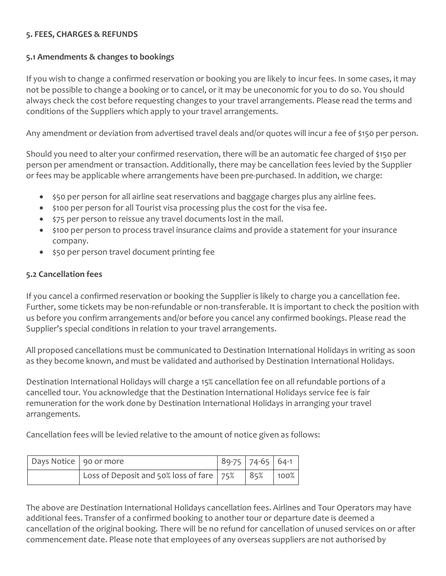#### **5. FEES, CHARGES & REFUNDS**

#### **5.1 Amendments & changes to bookings**

If you wish to change a confirmed reservation or booking you are likely to incur fees. In some cases, it may not be possible to change a booking or to cancel, or it may be uneconomic for you to do so. You should always check the cost before requesting changes to your travel arrangements. Please read the terms and conditions of the Suppliers which apply to your travel arrangements.

Any amendment or deviation from advertised travel deals and/or quotes will incur a fee of \$150 per person.

Should you need to alter your confirmed reservation, there will be an automatic fee charged of \$150 per person per amendment or transaction. Additionally, there may be cancellation fees levied by the Supplier or fees may be applicable where arrangements have been pre-purchased. In addition, we charge:

- \$50 per person for all airline seat reservations and baggage charges plus any airline fees.
- \$100 per person for all Tourist visa processing plus the cost for the visa fee.
- \$75 per person to reissue any travel documents lost in the mail.
- \$100 per person to process travel insurance claims and provide a statement for your insurance company.
- \$50 per person travel document printing fee

#### **5.2 Cancellation fees**

If you cancel a confirmed reservation or booking the Supplier is likely to charge you a cancellation fee. Further, some tickets may be non-refundable or non-transferable. It is important to check the position with us before you confirm arrangements and/or before you cancel any confirmed bookings. Please read the Supplier's special conditions in relation to your travel arrangements.

All proposed cancellations must be communicated to Destination International Holidays in writing as soon as they become known, and must be validated and authorised by Destination International Holidays.

Destination International Holidays will charge a 15% cancellation fee on all refundable portions of a cancelled tour. You acknowledge that the Destination International Holidays service fee is fair remuneration for the work done by Destination International Holidays in arranging your travel arrangements.

Cancellation fees will be levied relative to the amount of notice given as follows:

| Days Notice   90 or more |                                                         | $189-75$   74-65   64-1 |  |
|--------------------------|---------------------------------------------------------|-------------------------|--|
|                          | Loss of Deposit and 50% loss of fare   75%   85%   100% |                         |  |

The above are Destination International Holidays cancellation fees. Airlines and Tour Operators may have additional fees. Transfer of a confirmed booking to another tour or departure date is deemed a cancellation of the original booking. There will be no refund for cancellation of unused services on or after commencement date. Please note that employees of any overseas suppliers are not authorised by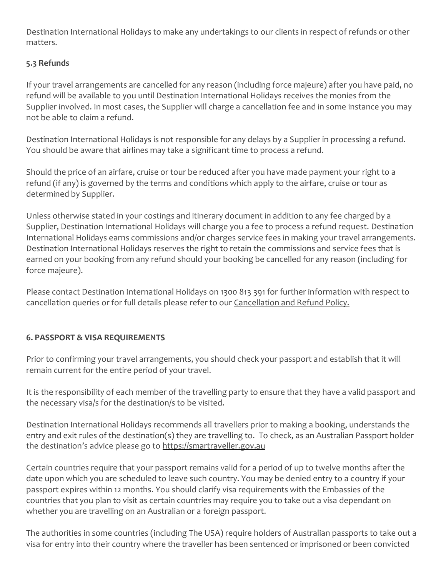Destination International Holidays to make any undertakings to our clients in respect of refunds or other matters.

#### **5.3 Refunds**

If your travel arrangements are cancelled for any reason (including force majeure) after you have paid, no refund will be available to you until Destination International Holidays receives the monies from the Supplier involved. In most cases, the Supplier will charge a cancellation fee and in some instance you may not be able to claim a refund.

Destination International Holidays is not responsible for any delays by a Supplier in processing a refund. You should be aware that airlines may take a significant time to process a refund.

Should the price of an airfare, cruise or tour be reduced after you have made payment your right to a refund (if any) is governed by the terms and conditions which apply to the airfare, cruise or tour as determined by Supplier.

Unless otherwise stated in your costings and itinerary document in addition to any fee charged by a Supplier, Destination International Holidays will charge you a fee to process a refund request. Destination International Holidays earns commissions and/or charges service fees in making your travel arrangements. Destination International Holidays reserves the right to retain the commissions and service fees that is earned on your booking from any refund should your booking be cancelled for any reason (including for force majeure).

Please contact Destination International Holidays on 1300 813 391 for further information with respect to cancellation queries or for full details please refer to our [Cancellation and Refund Policy.](https://www.ditravel.com.au/wp-content/uploads/2020/08/DIH-CANCELLATION-AND-REFUND-POLICY-2020.pdf)

#### **6. PASSPORT & VISA REQUIREMENTS**

Prior to confirming your travel arrangements, you should check your passport and establish that it will remain current for the entire period of your travel.

It is the responsibility of each member of the travelling party to ensure that they have a valid passport and the necessary visa/s for the destination/s to be visited.

Destination International Holidays recommends all travellers prior to making a booking, understands the entry and exit rules of the destination(s) they are travelling to. To check, as an Australian Passport holder the destination's advice please go to [https://smartraveller.gov.au](https://smartraveller.gov.au/)

Certain countries require that your passport remains valid for a period of up to twelve months after the date upon which you are scheduled to leave such country. You may be denied entry to a country if your passport expires within 12 months. You should clarify visa requirements with the Embassies of the countries that you plan to visit as certain countries may require you to take out a visa dependant on whether you are travelling on an Australian or a foreign passport.

The authorities in some countries (including The USA) require holders of Australian passports to take out a visa for entry into their country where the traveller has been sentenced or imprisoned or been convicted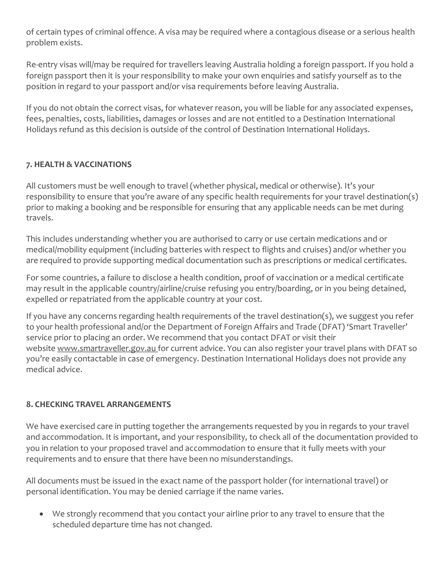of certain types of criminal offence. A visa may be required where a contagious disease or a serious health problem exists.

Re-entry visas will/may be required for travellers leaving Australia holding a foreign passport. If you hold a foreign passport then it is your responsibility to make your own enquiries and satisfy yourself as to the position in regard to your passport and/or visa requirements before leaving Australia.

If you do not obtain the correct visas, for whatever reason, you will be liable for any associated expenses, fees, penalties, costs, liabilities, damages or losses and are not entitled to a Destination International Holidays refund as this decision is outside of the control of Destination International Holidays.

#### **7. HEALTH & VACCINATIONS**

All customers must be well enough to travel (whether physical, medical or otherwise). It's your responsibility to ensure that you're aware of any specific health requirements for your travel destination(s) prior to making a booking and be responsible for ensuring that any applicable needs can be met during travels.

This includes understanding whether you are authorised to carry or use certain medications and or medical/mobility equipment (including batteries with respect to flights and cruises) and/or whether you are required to provide supporting medical documentation such as prescriptions or medical certificates.

For some countries, a failure to disclose a health condition, proof of vaccination or a medical certificate may result in the applicable country/airline/cruise refusing you entry/boarding, or in you being detained, expelled or repatriated from the applicable country at your cost.

If you have any concerns regarding health requirements of the travel destination(s), we suggest you refer to your health professional and/or the Department of Foreign Affairs and Trade (DFAT) 'Smart Traveller' service prior to placing an order. We recommend that you contact DFAT or visit their website [www.smartraveller.gov.au](http://www.smartraveller.gov.au/) [f](http://www.smartraveller.gov.au/)or current advice. You can also register your travel plans with DFAT so you're easily contactable in case of emergency. Destination International Holidays does not provide any medical advice.

#### **8. CHECKING TRAVEL ARRANGEMENTS**

We have exercised care in putting together the arrangements requested by you in regards to your travel and accommodation. It is important, and your responsibility, to check all of the documentation provided to you in relation to your proposed travel and accommodation to ensure that it fully meets with your requirements and to ensure that there have been no misunderstandings.

All documents must be issued in the exact name of the passport holder (for international travel) or personal identification. You may be denied carriage if the name varies.

• We strongly recommend that you contact your airline prior to any travel to ensure that the scheduled departure time has not changed.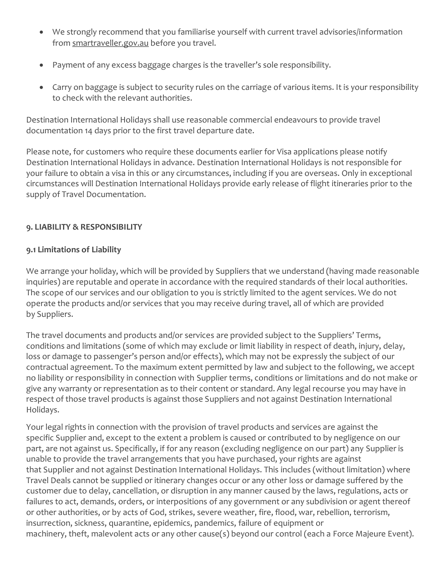- We strongly recommend that you familiarise yourself with current travel advisories/information from [smartraveller.gov.au](https://www.smartraveller.gov.au/) before you travel.
- Payment of any excess baggage charges is the traveller's sole responsibility.
- Carry on baggage is subject to security rules on the carriage of various items. It is your responsibility to check with the relevant authorities.

Destination International Holidays shall use reasonable commercial endeavours to provide travel documentation 14 days prior to the first travel departure date.

Please note, for customers who require these documents earlier for Visa applications please notify Destination International Holidays in advance. Destination International Holidays is not responsible for your failure to obtain a visa in this or any circumstances, including if you are overseas. Only in exceptional circumstances will Destination International Holidays provide early release of flight itineraries prior to the supply of Travel Documentation.

#### **9. LIABILITY & RESPONSIBILITY**

#### **9.1 Limitations of Liability**

We arrange your holiday, which will be provided by Suppliers that we understand (having made reasonable inquiries) are reputable and operate in accordance with the required standards of their local authorities. The scope of our services and our obligation to you is strictly limited to the agent services. We do not operate the products and/or services that you may receive during travel, all of which are provided by Suppliers.

The travel documents and products and/or services are provided subject to the Suppliers' Terms, conditions and limitations (some of which may exclude or limit liability in respect of death, injury, delay, loss or damage to passenger's person and/or effects), which may not be expressly the subject of our contractual agreement. To the maximum extent permitted by law and subject to the following, we accept no liability or responsibility in connection with Supplier terms, conditions or limitations and do not make or give any warranty or representation as to their content or standard. Any legal recourse you may have in respect of those travel products is against those Suppliers and not against Destination International Holidays.

Your legal rights in connection with the provision of travel products and services are against the specific Supplier and, except to the extent a problem is caused or contributed to by negligence on our part, are not against us. Specifically, if for any reason (excluding negligence on our part) any Supplier is unable to provide the travel arrangements that you have purchased, your rights are against that Supplier and not against Destination International Holidays. This includes (without limitation) where Travel Deals cannot be supplied or itinerary changes occur or any other loss or damage suffered by the customer due to delay, cancellation, or disruption in any manner caused by the laws, regulations, acts or failures to act, demands, orders, or interpositions of any government or any subdivision or agent thereof or other authorities, or by acts of God, strikes, severe weather, fire, flood, war, rebellion, terrorism, insurrection, sickness, quarantine, epidemics, pandemics, failure of equipment or machinery, theft, malevolent acts or any other cause(s) beyond our control (each a Force Majeure Event).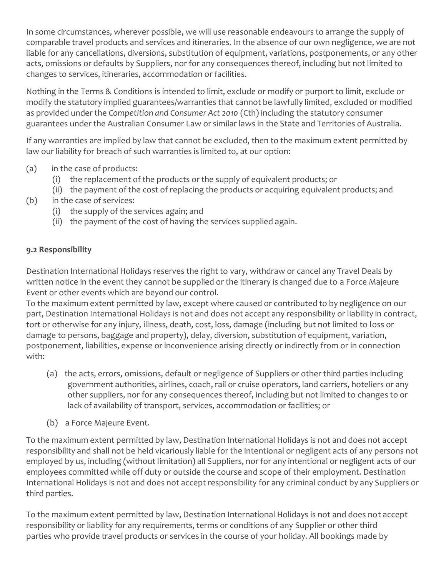In some circumstances, wherever possible, we will use reasonable endeavours to arrange the supply of comparable travel products and services and itineraries. In the absence of our own negligence, we are not liable for any cancellations, diversions, substitution of equipment, variations, postponements, or any other acts, omissions or defaults by Suppliers, nor for any consequences thereof, including but not limited to changes to services, itineraries, accommodation or facilities.

Nothing in the Terms & Conditions is intended to limit, exclude or modify or purport to limit, exclude or modify the statutory implied guarantees/warranties that cannot be lawfully limited, excluded or modified as provided under the *Competition and Consumer Act 2010* (Cth) including the statutory consumer guarantees under the Australian Consumer Law or similar laws in the State and Territories of Australia.

If any warranties are implied by law that cannot be excluded, then to the maximum extent permitted by law our liability for breach of such warranties is limited to, at our option:

- (a) in the case of products:
	- (i) the replacement of the products or the supply of equivalent products; or
	- (ii) the payment of the cost of replacing the products or acquiring equivalent products; and
- (b) in the case of services:
	- (i) the supply of the services again; and
	- (ii) the payment of the cost of having the services supplied again.

#### **9.2 Responsibility**

Destination International Holidays reserves the right to vary, withdraw or cancel any Travel Deals by written notice in the event they cannot be supplied or the itinerary is changed due to a Force Majeure Event or other events which are beyond our control.

To the maximum extent permitted by law, except where caused or contributed to by negligence on our part, Destination International Holidays is not and does not accept any responsibility or liability in contract, tort or otherwise for any injury, illness, death, cost, loss, damage (including but not limited to loss or damage to persons, baggage and property), delay, diversion, substitution of equipment, variation, postponement, liabilities, expense or inconvenience arising directly or indirectly from or in connection with:

- (a) the acts, errors, omissions, default or negligence of Suppliers or other third parties including government authorities, airlines, coach, rail or cruise operators, land carriers, hoteliers or any other suppliers, nor for any consequences thereof, including but not limited to changes to or lack of availability of transport, services, accommodation or facilities; or
- (b) a Force Majeure Event.

To the maximum extent permitted by law, Destination International Holidays is not and does not accept responsibility and shall not be held vicariously liable for the intentional or negligent acts of any persons not employed by us, including (without limitation) all Suppliers, nor for any intentional or negligent acts of our employees committed while off duty or outside the course and scope of their employment. Destination International Holidays is not and does not accept responsibility for any criminal conduct by any Suppliers or third parties.

To the maximum extent permitted by law, Destination International Holidays is not and does not accept responsibility or liability for any requirements, terms or conditions of any Supplier or other third parties who provide travel products or services in the course of your holiday. All bookings made by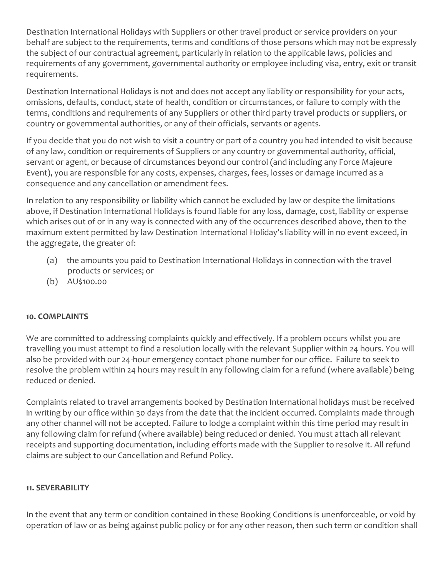Destination International Holidays with Suppliers or other travel product or service providers on your behalf are subject to the requirements, terms and conditions of those persons which may not be expressly the subject of our contractual agreement, particularly in relation to the applicable laws, policies and requirements of any government, governmental authority or employee including visa, entry, exit or transit requirements.

Destination International Holidays is not and does not accept any liability or responsibility for your acts, omissions, defaults, conduct, state of health, condition or circumstances, or failure to comply with the terms, conditions and requirements of any Suppliers or other third party travel products or suppliers, or country or governmental authorities, or any of their officials, servants or agents.

If you decide that you do not wish to visit a country or part of a country you had intended to visit because of any law, condition or requirements of Suppliers or any country or governmental authority, official, servant or agent, or because of circumstances beyond our control (and including any Force Majeure Event), you are responsible for any costs, expenses, charges, fees, losses or damage incurred as a consequence and any cancellation or amendment fees.

In relation to any responsibility or liability which cannot be excluded by law or despite the limitations above, if Destination International Holidays is found liable for any loss, damage, cost, liability or expense which arises out of or in any way is connected with any of the occurrences described above, then to the maximum extent permitted by law Destination International Holiday's liability will in no event exceed, in the aggregate, the greater of:

- (a) the amounts you paid to Destination International Holidays in connection with the travel products or services; or
- (b) AU\$100.00

#### **10. COMPLAINTS**

We are committed to addressing complaints quickly and effectively. If a problem occurs whilst you are travelling you must attempt to find a resolution locally with the relevant Supplier within 24 hours. You will also be provided with our 24-hour emergency contact phone number for our office. Failure to seek to resolve the problem within 24 hours may result in any following claim for a refund (where available) being reduced or denied.

Complaints related to travel arrangements booked by Destination International holidays must be received in writing by our office within 30 days from the date that the incident occurred. Complaints made through any other channel will not be accepted. Failure to lodge a complaint within this time period may result in any following claim for refund (where available) being reduced or denied. You must attach all relevant receipts and supporting documentation, including efforts made with the Supplier to resolve it. All refund claims are subject to our [Cancellation and Refund Policy.](https://www.ditravel.com.au/wp-content/uploads/2020/08/DIH-CANCELLATION-AND-REFUND-POLICY-2020.pdf)

#### **11. SEVERABILITY**

In the event that any term or condition contained in these Booking Conditions is unenforceable, or void by operation of law or as being against public policy or for any other reason, then such term or condition shall